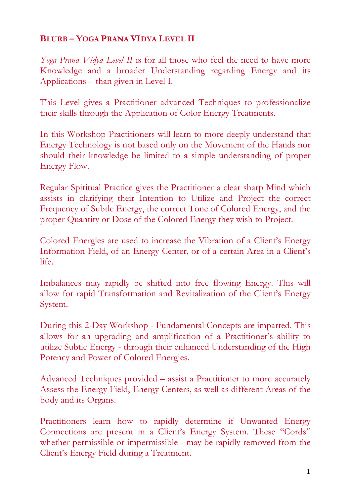## **BLURB – YOGA PRANA VIDYA LEVEL II**

*Yoga Prana Vidya Level II* is for all those who feel the need to have more Knowledge and a broader Understanding regarding Energy and its Applications – than given in Level I.

This Level gives a Practitioner advanced Techniques to professionalize their skills through the Application of Color Energy Treatments.

In this Workshop Practitioners will learn to more deeply understand that Energy Technology is not based only on the Movement of the Hands nor should their knowledge be limited to a simple understanding of proper Energy Flow.

Regular Spiritual Practice gives the Practitioner a clear sharp Mind which assists in clarifying their Intention to Utilize and Project the correct Frequency of Subtle Energy, the correct Tone of Colored Energy, and the proper Quantity or Dose of the Colored Energy they wish to Project.

Colored Energies are used to increase the Vibration of a Client's Energy Information Field, of an Energy Center, or of a certain Area in a Client's life.

Imbalances may rapidly be shifted into free flowing Energy. This will allow for rapid Transformation and Revitalization of the Client's Energy System.

During this 2-Day Workshop - Fundamental Concepts are imparted. This allows for an upgrading and amplification of a Practitioner's ability to utilize Subtle Energy - through their enhanced Understanding of the High Potency and Power of Colored Energies.

Advanced Techniques provided – assist a Practitioner to more accurately Assess the Energy Field, Energy Centers, as well as different Areas of the body and its Organs.

Practitioners learn how to rapidly determine if Unwanted Energy Connections are present in a Client's Energy System. These "Cords" whether permissible or impermissible - may be rapidly removed from the Client's Energy Field during a Treatment.